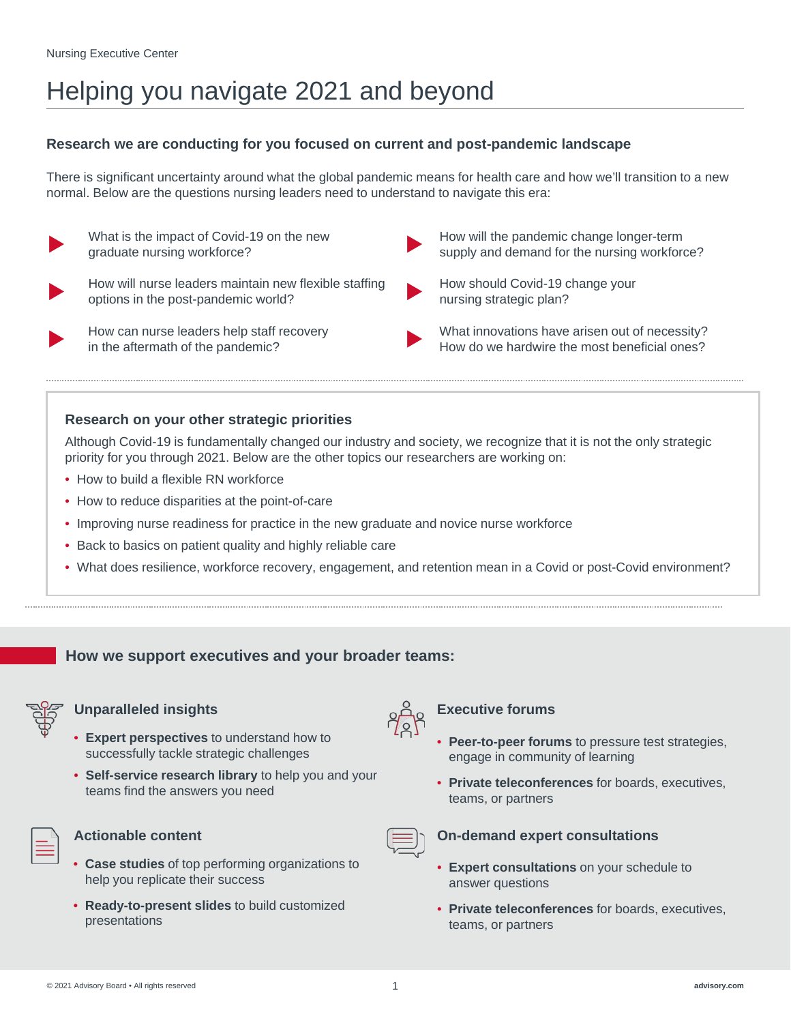# Helping you navigate 2021 and beyond

### **Research we are conducting for you focused on current and post-pandemic landscape**

There is significant uncertainty around what the global pandemic means for health care and how we'll transition to a new normal. Below are the questions nursing leaders need to understand to navigate this era:



What is the impact of Covid-19 on the new graduate nursing workforce?



How will nurse leaders maintain new flexible staffing options in the post-pandemic world?

How can nurse leaders help staff recovery in the aftermath of the pandemic?

- How will the pandemic change longer-term supply and demand for the nursing workforce?
- How should Covid-19 change your nursing strategic plan?

What innovations have arisen out of necessity? How do we hardwire the most beneficial ones?

### **Research on your other strategic priorities**

Although Covid-19 is fundamentally changed our industry and society, we recognize that it is not the only strategic priority for you through 2021. Below are the other topics our researchers are working on:

- How to build a flexible RN workforce
- How to reduce disparities at the point-of-care
- Improving nurse readiness for practice in the new graduate and novice nurse workforce
- Back to basics on patient quality and highly reliable care
- What does resilience, workforce recovery, engagement, and retention mean in a Covid or post-Covid environment?

### **How we support executives and your broader teams:**



### **Unparalleled insights Executive forums**

- **Expert perspectives** to understand how to successfully tackle strategic challenges
- **Self-service research library** to help you and your teams find the answers you need



- **Case studies** of top performing organizations to help you replicate their success
- **Ready-to-present slides** to build customized presentations



- **Peer-to-peer forums** to pressure test strategies, engage in community of learning
- **Private teleconferences** for boards, executives, teams, or partners



### Actionable content **On-demand expert consultations**

- **Expert consultations** on your schedule to answer questions
- **Private teleconferences** for boards, executives, teams, or partners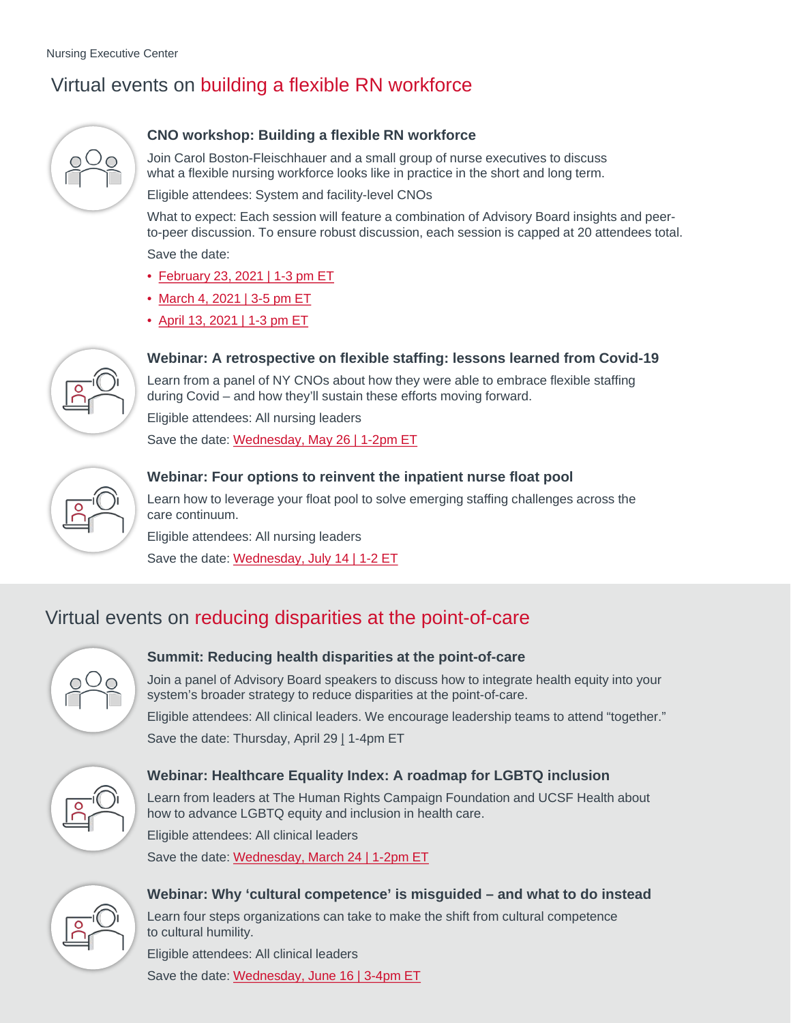# Virtual events on building a flexible RN workforce



### **CNO workshop: Building a flexible RN workforce**

Join Carol Boston-Fleischhauer and a small group of nurse executives to discuss what a flexible nursing workforce looks like in practice in the short and long term.

Eligible attendees: System and facility-level CNOs

What to expect: Each session will feature a combination of Advisory Board insights and peerto-peer discussion. To ensure robust discussion, each session is capped at 20 attendees total. Save the date:

• [February 23, 2021 | 1-3 pm ET](https://www.advisory.com/Topics/Nurse-Staffing-and-Productivity/2021/02/Building-a-flexible-RN-workforce)

- [March 4, 2021 | 3-5 pm ET](https://www.advisory.com/Topics/Nurse-Staffing-and-Productivity/2021/03/Building-a-flexible-RN-workforce-session-2)
- [April 13, 2021 | 1-3 pm ET](https://www.advisory.com/Topics/Nurse-Staffing-and-Productivity/2021/04/Building-a-flexible-RN-workforce-session-3)



### **Webinar: A retrospective on flexible staffing: lessons learned from Covid-19**

Learn from a panel of NY CNOs about how they were able to embrace flexible staffing during Covid – and how they'll sustain these efforts moving forward.

Eligible attendees: All nursing leaders

Save the date: [Wednesday, May 26 | 1-2pm ET](https://www.advisory.com/Topics/Nursing/2021/05/A-retrospective-on-flexible-staffing)



### **Webinar: Four options to reinvent the inpatient nurse float pool**

Learn how to leverage your float pool to solve emerging staffing challenges across the care continuum.

Eligible attendees: All nursing leaders Save the date: [Wednesday, July 14 | 1-2 ET](https://www.advisory.com/Topics/Nursing/2021/07/Four-options-to-reinvent-the-inpatient-nurse-float-pool)

## Virtual events on reducing disparities at the point-of-care



### **Summit: Reducing health disparities at the point-of-care**

Join a panel of Advisory Board speakers to discuss how to integrate health equity into your system's broader strategy to reduce disparities at the point-of-care.

Eligible attendees: All clinical leaders. We encourage leadership teams to attend "together." Save the date: Thursday, April 29 [|](https://www.advisory.com/Topics/Nurse-Staffing-and-Productivity/2021/04/Building-a-flexible-RN-workforce-session-3) 1-4pm ET



### **Webinar: Healthcare Equality Index: A roadmap for LGBTQ inclusion**

Learn from leaders at The Human Rights Campaign Foundation and UCSF Health about how to advance LGBTQ equity and inclusion in health care.

Eligible attendees: All clinical leaders

Save the date: [Wednesday, March 24 | 1-2pm ET](https://www.advisory.com/Topics/Clinical-Quality/2021/03/Healthcare-Equality-Index-A-roadmap-for-LGBTQ-inclusion)



### **Webinar: Why 'cultural competence' is misguided – and what to do instead**

© 2021 Advisory Board • All rights reserved 2 **[advisory.com](https://www.advisory.com/)**

Learn four steps organizations can take to make the shift from cultural competence to cultural humility.

Eligible attendees: All clinical leaders Save the date: [Wednesday, June 16 | 3-4pm ET](https://www.advisory.com/Topics/Nursing/2021/06/Why-cultural-competence-is-misguided)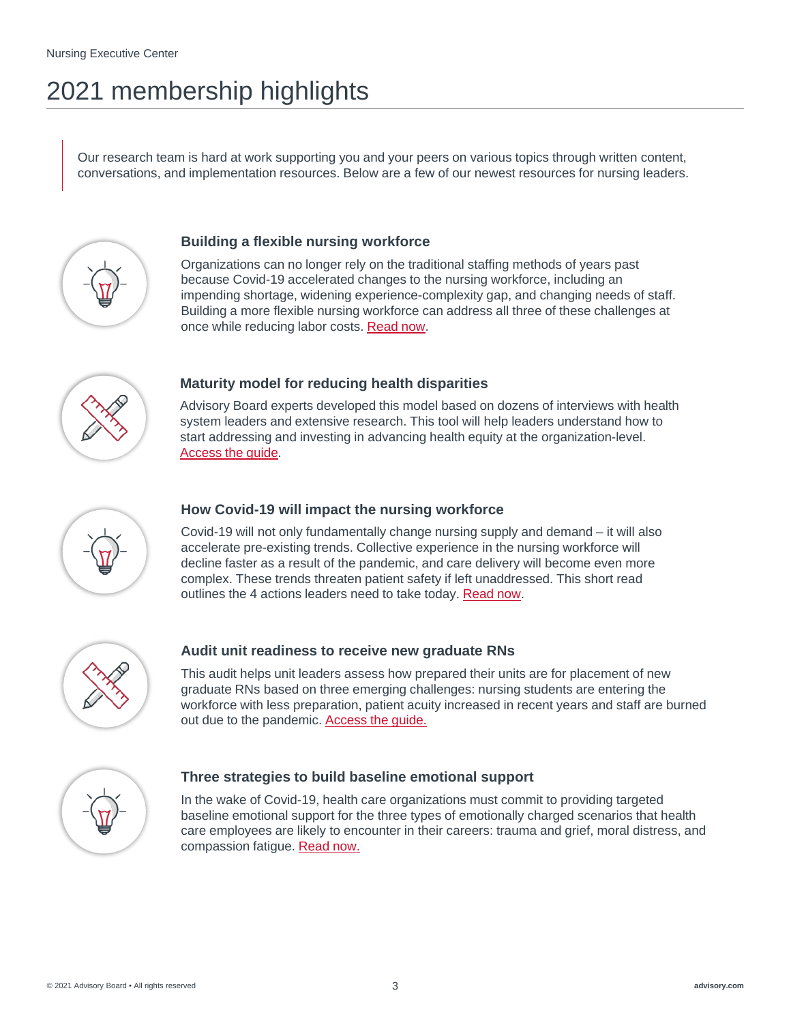# 2021 membership highlights

Our research team is hard at work supporting you and your peers on various topics through written content, conversations, and implementation resources. Below are a few of our newest resources for nursing leaders.



### **Building a flexible nursing workforce**

Organizations can no longer rely on the traditional staffing methods of years past because Covid-19 accelerated changes to the nursing workforce, including an impending shortage, widening experience-complexity gap, and changing needs of staff. Building a more flexible nursing workforce can address all three of these challenges at once while reducing labor costs. [Read now](https://www.advisory.com/Topics/Nurse-Staffing-and-Productivity/2021/01/Building-a-flexible-nursing-workforce?imp=unauth).



### **Maturity model for reducing health disparities**

Advisory Board experts developed this model based on dozens of interviews with health system leaders and extensive research. This tool will help leaders understand how to start addressing and investing in advancing health equity at the organization-level. [Access the guide](https://www.advisory.com/Topics/Social-Determinants-of-Health/2020/12/Maturity-model-for-reducing-health-disparities).



### **How Covid-19 will impact the nursing workforce**

Covid-19 will not only fundamentally change nursing supply and demand – it will also accelerate pre-existing trends. Collective experience in the nursing workforce will decline faster as a result of the pandemic, and care delivery will become even more complex. These trends threaten patient safety if left unaddressed. This short read outlines the 4 actions leaders need to take today. [Read now](https://www.advisory.com/Topics/Covid-19/2020/10/How-covid-19-will-impact-the-nursing-workforce).



### **Audit unit readiness to receive new graduate RNs**

This audit helps unit leaders assess how prepared their units are for placement of new graduate RNs based on three emerging challenges: nursing students are entering the workforce with less preparation, patient acuity increased in recent years and staff are burned out due to the pandemic. [Access the guide.](https://www.advisory.com/Topics/Nursing-Care-Quality-and-Service/2020/09/Audit-unit-readiness-to-receive-new-graduate-RNs)



### **Three strategies to build baseline emotional support**

In the wake of Covid-19, health care organizations must commit to providing targeted baseline emotional support for the three types of emotionally charged scenarios that health care employees are likely to encounter in their careers: trauma and grief, moral distress, and compassion fatigue. [Read now.](https://www.advisory.com/topics/staff-engagement-and-burnout/2020/07/three-strategies-to-build-baseline-emotional-support)